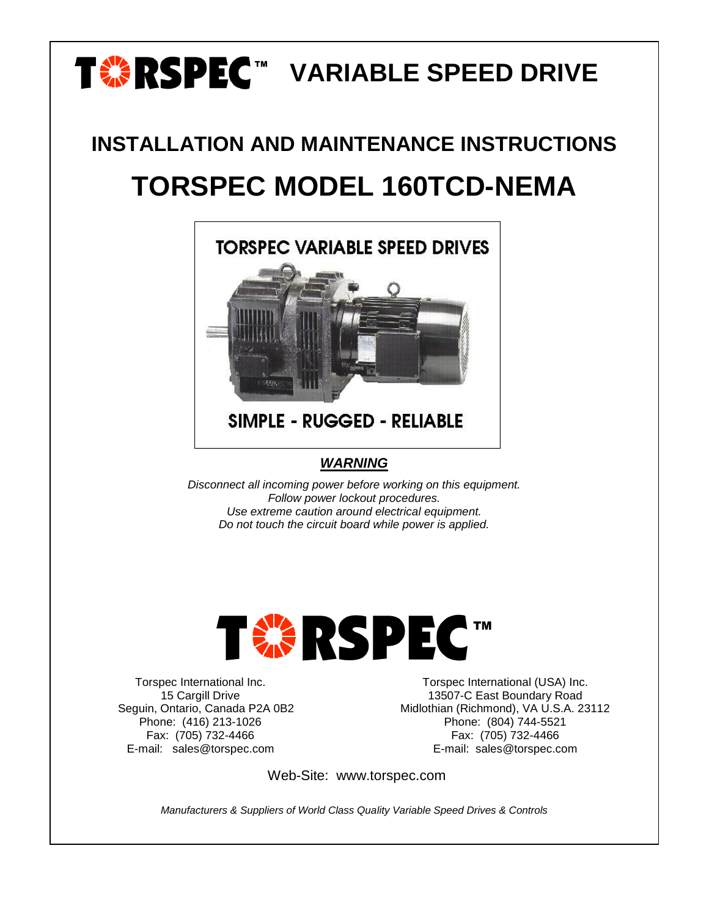# T**<sup>.</sup> RSPEC™ VARIABLE SPEED DRIVE**

## **INSTALLATION AND MAINTENANCE INSTRUCTIONS TORSPEC MODEL 160TCD-NEMA**



**SIMPLE - RUGGED - RELIABLE** 

#### *WARNING*

*Disconnect all incoming power before working on this equipment. Follow power lockout procedures. Use extreme caution around electrical equipment. Do not touch the circuit board while power is applied.*



Torspec International Inc. 15 Cargill Drive Seguin, Ontario, Canada P2A 0B2 Phone: (416) 213-1026 Fax: (705) 732-4466 E-mail: sales@torspec.com

Torspec International (USA) Inc. 13507-C East Boundary Road Midlothian (Richmond), VA U.S.A. 23112 Phone: (804) 744-5521 Fax: (705) 732-4466 E-mail: sales@torspec.com

Web-Site: www.torspec.com

*Manufacturers & Suppliers of World Class Quality Variable Speed Drives & Controls*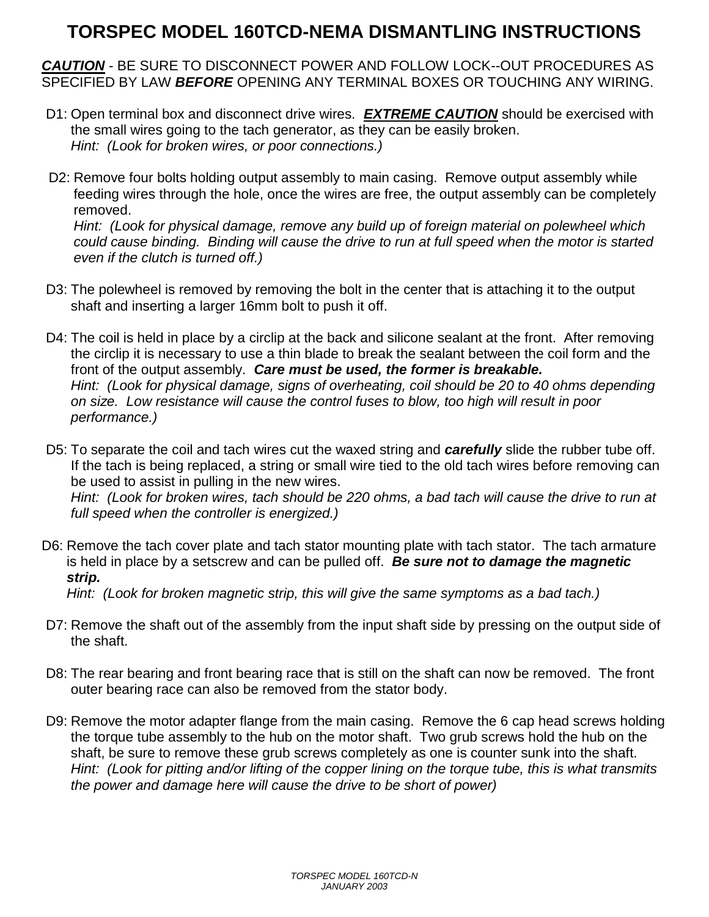## **TORSPEC MODEL 160TCD-NEMA DISMANTLING INSTRUCTIONS**

*CAUTION* - BE SURE TO DISCONNECT POWER AND FOLLOW LOCK--OUT PROCEDURES AS SPECIFIED BY LAW *BEFORE* OPENING ANY TERMINAL BOXES OR TOUCHING ANY WIRING.

- D1: Open terminal box and disconnect drive wires*. EXTREME CAUTION* should be exercised with the small wires going to the tach generator, as they can be easily broken. *Hint: (Look for broken wires, or poor connections.)*
- D2: Remove four bolts holding output assembly to main casing. Remove output assembly while feeding wires through the hole, once the wires are free, the output assembly can be completely removed. *Hint: (Look for physical damage, remove any build up of foreign material on polewheel which*

*could cause binding. Binding will cause the drive to run at full speed when the motor is started even if the clutch is turned off.)*

- D3: The polewheel is removed by removing the bolt in the center that is attaching it to the output shaft and inserting a larger 16mm bolt to push it off.
- D4: The coil is held in place by a circlip at the back and silicone sealant at the front. After removing the circlip it is necessary to use a thin blade to break the sealant between the coil form and the front of the output assembly. *Care must be used, the former is breakable. Hint: (Look for physical damage, signs of overheating, coil should be 20 to 40 ohms depending on size. Low resistance will cause the control fuses to blow, too high will result in poor performance.)*
- D5: To separate the coil and tach wires cut the waxed string and *carefully* slide the rubber tube off. If the tach is being replaced, a string or small wire tied to the old tach wires before removing can be used to assist in pulling in the new wires.

*Hint: (Look for broken wires, tach should be 220 ohms, a bad tach will cause the drive to run at full speed when the controller is energized.)*

D6: Remove the tach cover plate and tach stator mounting plate with tach stator. The tach armature is held in place by a setscrew and can be pulled off. *Be sure not to damage the magnetic strip.*

*Hint: (Look for broken magnetic strip, this will give the same symptoms as a bad tach.)*

- D7: Remove the shaft out of the assembly from the input shaft side by pressing on the output side of the shaft.
- D8: The rear bearing and front bearing race that is still on the shaft can now be removed. The front outer bearing race can also be removed from the stator body.
- D9: Remove the motor adapter flange from the main casing. Remove the 6 cap head screws holding the torque tube assembly to the hub on the motor shaft. Two grub screws hold the hub on the shaft, be sure to remove these grub screws completely as one is counter sunk into the shaft. *Hint: (Look for pitting and/or lifting of the copper lining on the torque tube, this is what transmits the power and damage here will cause the drive to be short of power)*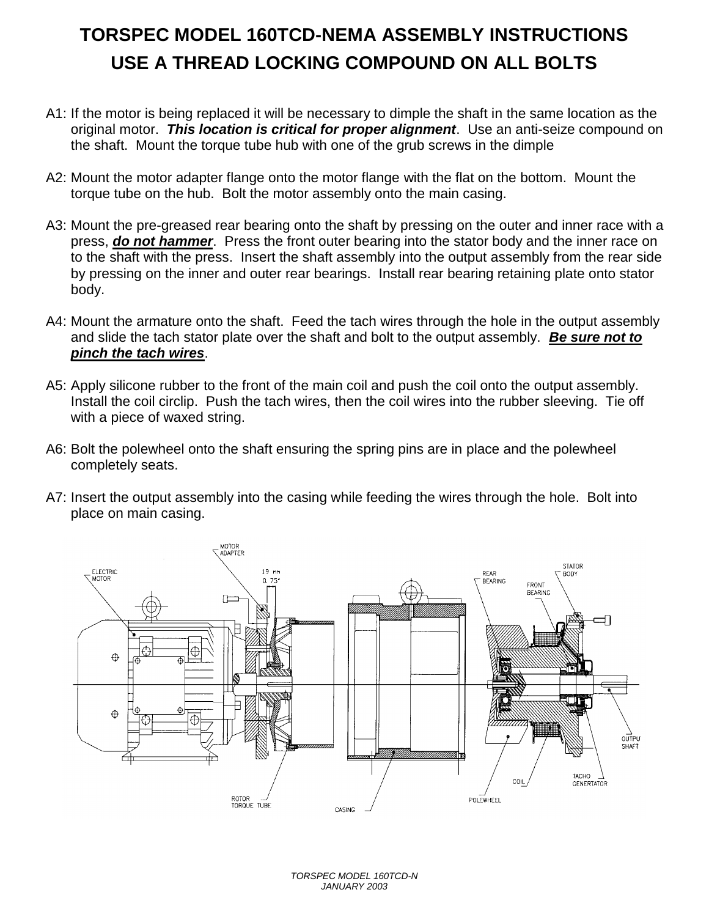## **TORSPEC MODEL 160TCD-NEMA ASSEMBLY INSTRUCTIONS USE A THREAD LOCKING COMPOUND ON ALL BOLTS**

- A1: If the motor is being replaced it will be necessary to dimple the shaft in the same location as the original motor. *This location is critical for proper alignment*. Use an anti-seize compound on the shaft. Mount the torque tube hub with one of the grub screws in the dimple
- A2: Mount the motor adapter flange onto the motor flange with the flat on the bottom. Mount the torque tube on the hub. Bolt the motor assembly onto the main casing.
- A3: Mount the pre-greased rear bearing onto the shaft by pressing on the outer and inner race with a press, *do not hammer*. Press the front outer bearing into the stator body and the inner race on to the shaft with the press. Insert the shaft assembly into the output assembly from the rear side by pressing on the inner and outer rear bearings. Install rear bearing retaining plate onto stator body.
- A4: Mount the armature onto the shaft. Feed the tach wires through the hole in the output assembly and slide the tach stator plate over the shaft and bolt to the output assembly. *Be sure not to pinch the tach wires*.
- A5: Apply silicone rubber to the front of the main coil and push the coil onto the output assembly. Install the coil circlip. Push the tach wires, then the coil wires into the rubber sleeving. Tie off with a piece of waxed string.
- A6: Bolt the polewheel onto the shaft ensuring the spring pins are in place and the polewheel completely seats.
- A7: Insert the output assembly into the casing while feeding the wires through the hole. Bolt into place on main casing.



*TORSPEC MODEL 160TCD-N JANUARY 2003*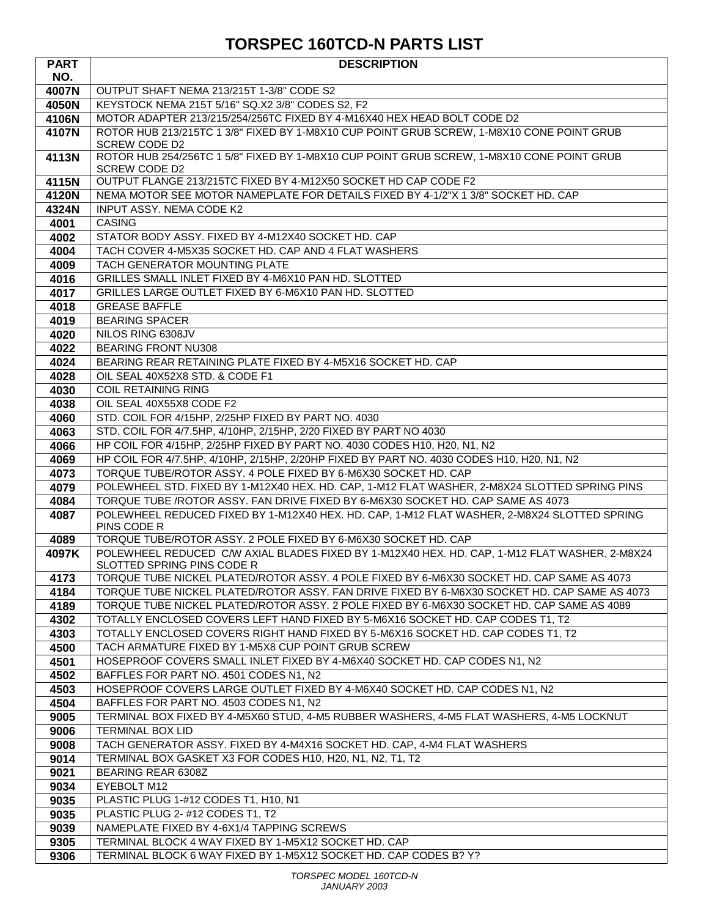### **TORSPEC 160TCD-N PARTS LIST**

| <b>PART</b>  | <b>DESCRIPTION</b>                                                                                                                                                |
|--------------|-------------------------------------------------------------------------------------------------------------------------------------------------------------------|
| NO.          |                                                                                                                                                                   |
| 4007N        | OUTPUT SHAFT NEMA 213/215T 1-3/8" CODE S2                                                                                                                         |
| 4050N        | KEYSTOCK NEMA 215T 5/16" SQ.X2 3/8" CODES S2, F2                                                                                                                  |
| 4106N        | MOTOR ADAPTER 213/215/254/256TC FIXED BY 4-M16X40 HEX HEAD BOLT CODE D2                                                                                           |
| 4107N        | ROTOR HUB 213/215TC 1 3/8" FIXED BY 1-M8X10 CUP POINT GRUB SCREW, 1-M8X10 CONE POINT GRUB<br><b>SCREW CODE D2</b>                                                 |
| 4113N        | ROTOR HUB 254/256TC 1 5/8" FIXED BY 1-M8X10 CUP POINT GRUB SCREW, 1-M8X10 CONE POINT GRUB<br>SCREW CODE D2                                                        |
| 4115N        | OUTPUT FLANGE 213/215TC FIXED BY 4-M12X50 SOCKET HD CAP CODE F2                                                                                                   |
| 4120N        | NEMA MOTOR SEE MOTOR NAMEPLATE FOR DETAILS FIXED BY 4-1/2"X 1 3/8" SOCKET HD. CAP                                                                                 |
| 4324N        | INPUT ASSY. NEMA CODE K2                                                                                                                                          |
| 4001         | <b>CASING</b>                                                                                                                                                     |
| 4002         | STATOR BODY ASSY. FIXED BY 4-M12X40 SOCKET HD. CAP                                                                                                                |
| 4004         | TACH COVER 4-M5X35 SOCKET HD. CAP AND 4 FLAT WASHERS                                                                                                              |
| 4009         | TACH GENERATOR MOUNTING PLATE                                                                                                                                     |
| 4016         | GRILLES SMALL INLET FIXED BY 4-M6X10 PAN HD. SLOTTED                                                                                                              |
| 4017         | GRILLES LARGE OUTLET FIXED BY 6-M6X10 PAN HD. SLOTTED                                                                                                             |
| 4018         | <b>GREASE BAFFLE</b>                                                                                                                                              |
| 4019         | <b>BEARING SPACER</b>                                                                                                                                             |
| 4020         | NILOS RING 6308JV                                                                                                                                                 |
| 4022         | <b>BEARING FRONT NU308</b><br>BEARING REAR RETAINING PLATE FIXED BY 4-M5X16 SOCKET HD. CAP                                                                        |
| 4024         | OIL SEAL 40X52X8 STD. & CODE F1                                                                                                                                   |
| 4028<br>4030 | <b>COIL RETAINING RING</b>                                                                                                                                        |
| 4038         | OIL SEAL 40X55X8 CODE F2                                                                                                                                          |
| 4060         | STD. COIL FOR 4/15HP, 2/25HP FIXED BY PART NO. 4030                                                                                                               |
| 4063         | STD. COIL FOR 4/7.5HP, 4/10HP, 2/15HP, 2/20 FIXED BY PART NO 4030                                                                                                 |
| 4066         | HP COIL FOR 4/15HP, 2/25HP FIXED BY PART NO. 4030 CODES H10, H20, N1, N2                                                                                          |
| 4069         | HP COIL FOR 4/7.5HP, 4/10HP, 2/15HP, 2/20HP FIXED BY PART NO. 4030 CODES H10, H20, N1, N2                                                                         |
| 4073         | TORQUE TUBE/ROTOR ASSY. 4 POLE FIXED BY 6-M6X30 SOCKET HD. CAP                                                                                                    |
| 4079         | POLEWHEEL STD. FIXED BY 1-M12X40 HEX. HD. CAP, 1-M12 FLAT WASHER, 2-M8X24 SLOTTED SPRING PINS                                                                     |
| 4084         | TORQUE TUBE / ROTOR ASSY. FAN DRIVE FIXED BY 6-M6X30 SOCKET HD. CAP SAME AS 4073                                                                                  |
| 4087         | POLEWHEEL REDUCED FIXED BY 1-M12X40 HEX. HD. CAP, 1-M12 FLAT WASHER, 2-M8X24 SLOTTED SPRING                                                                       |
|              | PINS CODE R                                                                                                                                                       |
| 4089         | TORQUE TUBE/ROTOR ASSY. 2 POLE FIXED BY 6-M6X30 SOCKET HD. CAP                                                                                                    |
| 4097K        | POLEWHEEL REDUCED C/W AXIAL BLADES FIXED BY 1-M12X40 HEX. HD. CAP, 1-M12 FLAT WASHER, 2-M8X24<br>SLOTTED SPRING PINS CODE R                                       |
| 4173         | TORQUE TUBE NICKEL PLATED/ROTOR ASSY. 4 POLE FIXED BY 6-M6X30 SOCKET HD. CAP SAME AS 4073                                                                         |
| 4184         | TORQUE TUBE NICKEL PLATED/ROTOR ASSY. FAN DRIVE FIXED BY 6-M6X30 SOCKET HD. CAP SAME AS 4073                                                                      |
| 4189         | TORQUE TUBE NICKEL PLATED/ROTOR ASSY. 2 POLE FIXED BY 6-M6X30 SOCKET HD. CAP SAME AS 4089                                                                         |
| 4302         | TOTALLY ENCLOSED COVERS LEFT HAND FIXED BY 5-M6X16 SOCKET HD. CAP CODES T1, T2<br>TOTALLY ENCLOSED COVERS RIGHT HAND FIXED BY 5-M6X16 SOCKET HD. CAP CODES T1, T2 |
| 4303<br>4500 | TACH ARMATURE FIXED BY 1-M5X8 CUP POINT GRUB SCREW                                                                                                                |
| 4501         | HOSEPROOF COVERS SMALL INLET FIXED BY 4-M6X40 SOCKET HD. CAP CODES N1, N2                                                                                         |
| 4502         | BAFFLES FOR PART NO. 4501 CODES N1, N2                                                                                                                            |
| 4503         | HOSEPROOF COVERS LARGE OUTLET FIXED BY 4-M6X40 SOCKET HD. CAP CODES N1, N2                                                                                        |
| 4504         | BAFFLES FOR PART NO. 4503 CODES N1, N2                                                                                                                            |
| 9005         | TERMINAL BOX FIXED BY 4-M5X60 STUD, 4-M5 RUBBER WASHERS, 4-M5 FLAT WASHERS, 4-M5 LOCKNUT                                                                          |
| 9006         | <b>TERMINAL BOX LID</b>                                                                                                                                           |
| 9008         | TACH GENERATOR ASSY. FIXED BY 4-M4X16 SOCKET HD. CAP, 4-M4 FLAT WASHERS                                                                                           |
| 9014         | TERMINAL BOX GASKET X3 FOR CODES H10, H20, N1, N2, T1, T2                                                                                                         |
| 9021         | BEARING REAR 6308Z                                                                                                                                                |
| 9034         | EYEBOLT M12                                                                                                                                                       |
| 9035         | PLASTIC PLUG 1-#12 CODES T1, H10, N1                                                                                                                              |
| 9035         | PLASTIC PLUG 2- #12 CODES T1, T2                                                                                                                                  |
| 9039         | NAMEPLATE FIXED BY 4-6X1/4 TAPPING SCREWS                                                                                                                         |
| 9305         | TERMINAL BLOCK 4 WAY FIXED BY 1-M5X12 SOCKET HD. CAP                                                                                                              |
| 9306         | TERMINAL BLOCK 6 WAY FIXED BY 1-M5X12 SOCKET HD. CAP CODES B? Y?                                                                                                  |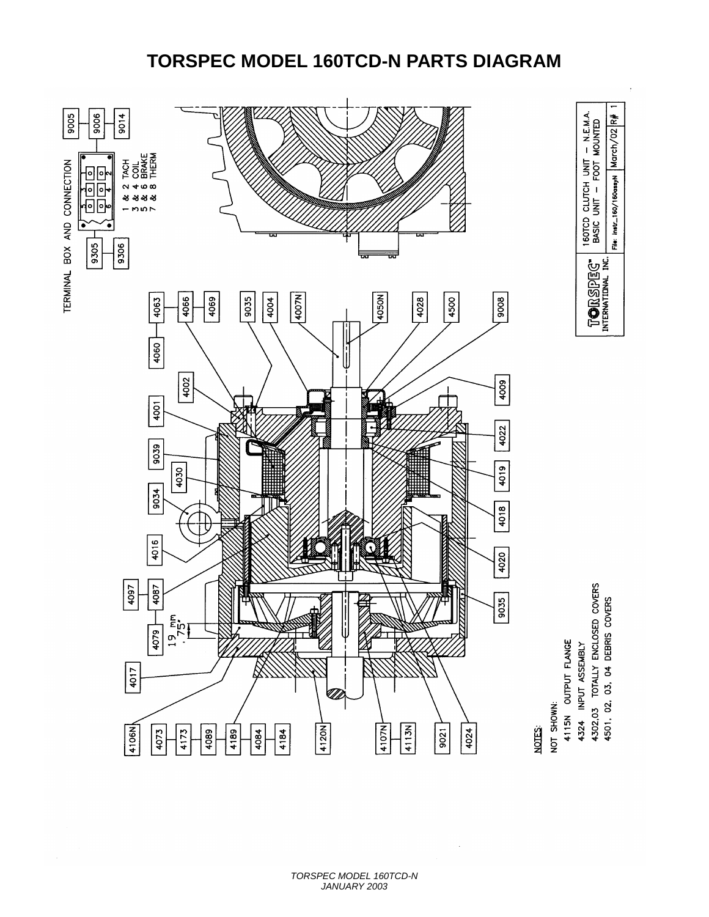## **TORSPEC MODEL 160TCD-N PARTS DIAGRAM**



4324 INPUT ASSEMBLY

4302,03 TOTALLY ENCLOSED COVERS<br>4501, 02, 03, 04 DEBRIS COVERS

╤

March/02R#

File: Instr\_160/160assyN

160TCD CLUTCH UNIT - N.E.M.A.<br>BASIC UNIT - FOOT MOUNTED

T**o**rspeg"<br>international inc.